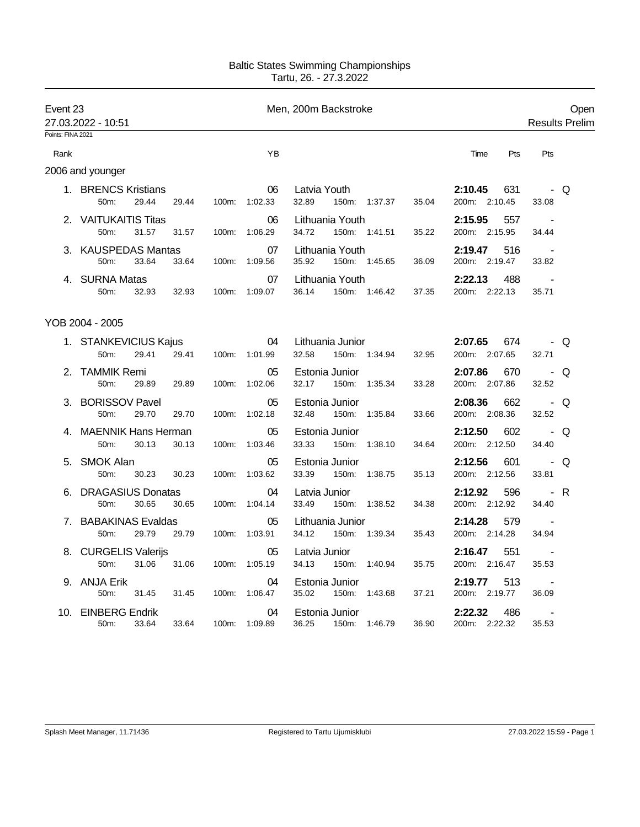## Baltic States Swimming Championships Tartu, 26. - 27.3.2022

| Event 23<br>27.03.2022 - 10:51 |                                             |       | Men, 200m Backstroke |                     |                                             |       |                                 |                                   | Open<br><b>Results Prelim</b> |
|--------------------------------|---------------------------------------------|-------|----------------------|---------------------|---------------------------------------------|-------|---------------------------------|-----------------------------------|-------------------------------|
| Points: FINA 2021              |                                             |       |                      |                     |                                             |       |                                 |                                   |                               |
| Rank                           |                                             |       |                      | YB                  |                                             |       | Time<br>Pts                     | Pts                               |                               |
|                                | 2006 and younger                            |       |                      |                     |                                             |       |                                 |                                   |                               |
|                                | 1. BRENCS Kristians<br>29.44<br>50m:        | 29.44 | 100m:                | 06<br>1:02.33       | Latvia Youth<br>32.89<br>150m: 1:37.37      | 35.04 | 2:10.45<br>631<br>200m: 2:10.45 | 33.08                             | - Q                           |
|                                | 2. VAITUKAITIS Titas<br>50m:<br>31.57       | 31.57 | 100m:                | 06<br>1:06.29       | Lithuania Youth<br>34.72<br>150m: 1:41.51   | 35.22 | 2:15.95<br>557<br>200m: 2:15.95 | 34.44                             |                               |
|                                | <b>KAUSPEDAS Mantas</b><br>50m:<br>33.64    | 33.64 |                      | 07<br>100m: 1:09.56 | Lithuania Youth<br>35.92<br>150m: 1:45.65   | 36.09 | 2:19.47<br>516<br>200m: 2:19.47 | $\overline{\phantom{a}}$<br>33.82 |                               |
|                                | 4. SURNA Matas<br>50m:<br>32.93             | 32.93 | 100m:                | 07<br>1:09.07       | Lithuania Youth<br>36.14<br>150m: 1:46.42   | 37.35 | 2:22.13<br>488<br>200m: 2:22.13 | 35.71                             |                               |
|                                | YOB 2004 - 2005                             |       |                      |                     |                                             |       |                                 |                                   |                               |
|                                | 1. STANKEVICIUS Kajus<br>29.41<br>50m:      | 29.41 | 100m:                | 04<br>1:01.99       | Lithuania Junior<br>32.58<br>150m: 1:34.94  | 32.95 | 2:07.65<br>674<br>200m: 2:07.65 | 32.71                             | - Q                           |
| 2.                             | TAMMIK Remi<br>50m:<br>29.89                | 29.89 | 100m:                | 05<br>1:02.06       | Estonia Junior<br>32.17<br>150m:<br>1:35.34 | 33.28 | 2:07.86<br>670<br>200m: 2:07.86 | 32.52                             | - Q                           |
| 3.                             | <b>BORISSOV Pavel</b><br>50m:<br>29.70      | 29.70 | 100m:                | 05<br>1:02.18       | Estonia Junior<br>32.48<br>150m:<br>1:35.84 | 33.66 | 2:08.36<br>662<br>200m: 2:08.36 | 32.52                             | - Q                           |
| 4                              | <b>MAENNIK Hans Herman</b><br>50m:<br>30.13 | 30.13 | 100m:                | 05<br>1:03.46       | Estonia Junior<br>33.33<br>1:38.10<br>150m: | 34.64 | 2:12.50<br>602<br>200m: 2:12.50 | 34.40                             | - Q                           |
| 5.                             | <b>SMOK Alan</b><br>50m:<br>30.23           | 30.23 | 100m:                | 05<br>1:03.62       | Estonia Junior<br>33.39<br>150m:<br>1:38.75 | 35.13 | 2:12.56<br>601<br>200m: 2:12.56 | 33.81                             | - Q                           |
| 6.                             | <b>DRAGASIUS Donatas</b><br>50m:<br>30.65   | 30.65 | 100m:                | 04<br>1:04.14       | Latvia Junior<br>33.49<br>150m: 1:38.52     | 34.38 | 2:12.92<br>596<br>200m: 2:12.92 | 34.40                             | - R                           |
| 7.                             | <b>BABAKINAS Evaldas</b><br>50m:<br>29.79   | 29.79 | 100m:                | 05<br>1:03.91       | Lithuania Junior<br>34.12<br>150m: 1:39.34  | 35.43 | 2:14.28<br>579<br>200m: 2:14.28 | 34.94                             |                               |
|                                | 8. CURGELIS Valerijs<br>50m:<br>31.06       | 31.06 | 100m:                | 05<br>1:05.19       | Latvia Junior<br>34.13<br>150m:<br>1:40.94  | 35.75 | 2:16.47<br>551<br>200m: 2:16.47 | $\overline{\phantom{a}}$<br>35.53 |                               |
|                                | 9. ANJA Erik<br>50m:<br>31.45               | 31.45 | 100m:                | 04<br>1:06.47       | Estonia Junior<br>35.02<br>150m:<br>1:43.68 | 37.21 | 2:19.77<br>513<br>200m: 2:19.77 | $\blacksquare$<br>36.09           |                               |
|                                | 10. EINBERG Endrik<br>50m:<br>33.64         | 33.64 | 100m:                | 04<br>1:09.89       | Estonia Junior<br>36.25<br>1:46.79<br>150m: | 36.90 | 2:22.32<br>486<br>200m: 2:22.32 | $\overline{\phantom{a}}$<br>35.53 |                               |